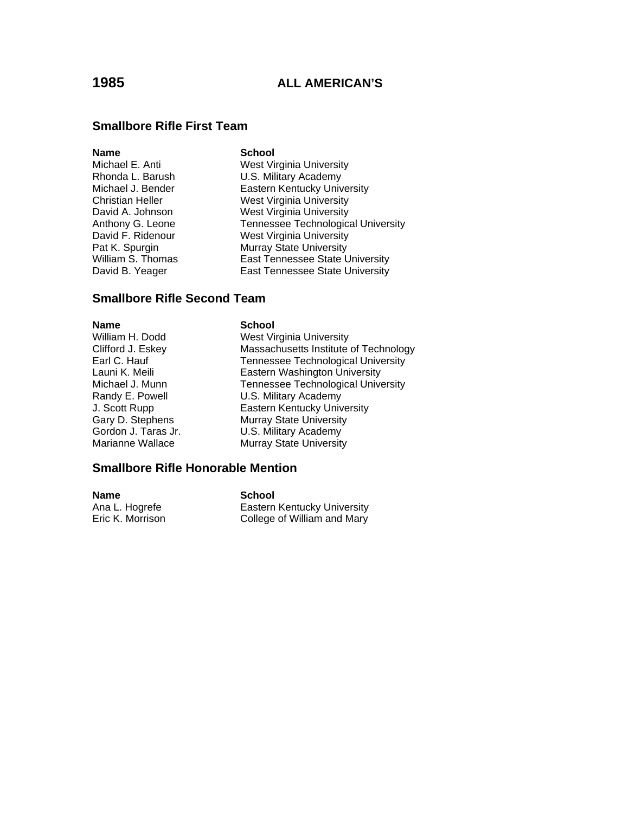### **Smallbore Rifle First Team**

#### **Name** School

Michael E. Anti West Virginia University Rhonda L. Barush **B. E. S. Military Academy**<br>Michael J. Bender **M. Eastern Kentucky Univ** Eastern Kentucky University Christian Heller West Virginia University David A. Johnson West Virginia University Anthony G. Leone Tennessee Technological University David F. Ridenour West Virginia University Pat K. Spurgin Murray State University William S. Thomas **East Tennessee State University** David B. Yeager **East Tennessee State University** 

### **Smallbore Rifle Second Team**

**Name School** 

William H. Dodd West Virginia University Clifford J. Eskey Massachusetts Institute of Technology Earl C. Hauf Tennessee Technological University<br>
Launi K. Meili Tennessee Technological University Launi K. Meili **Eastern Washington University**<br>Michael J. Munn **M. Exercity** Tennessee Technological Unive Tennessee Technological University Randy E. Powell U.S. Military Academy J. Scott Rupp Eastern Kentucky University Gary D. Stephens Murray State University Gordon J. Taras Jr. **U.S. Military Academy** Marianne Wallace Murray State University

### **Smallbore Rifle Honorable Mention**

| <b>Name</b>      | School                      |
|------------------|-----------------------------|
| Ana L. Hogrefe   | Eastern Kentucky University |
| Eric K. Morrison | College of William and Mary |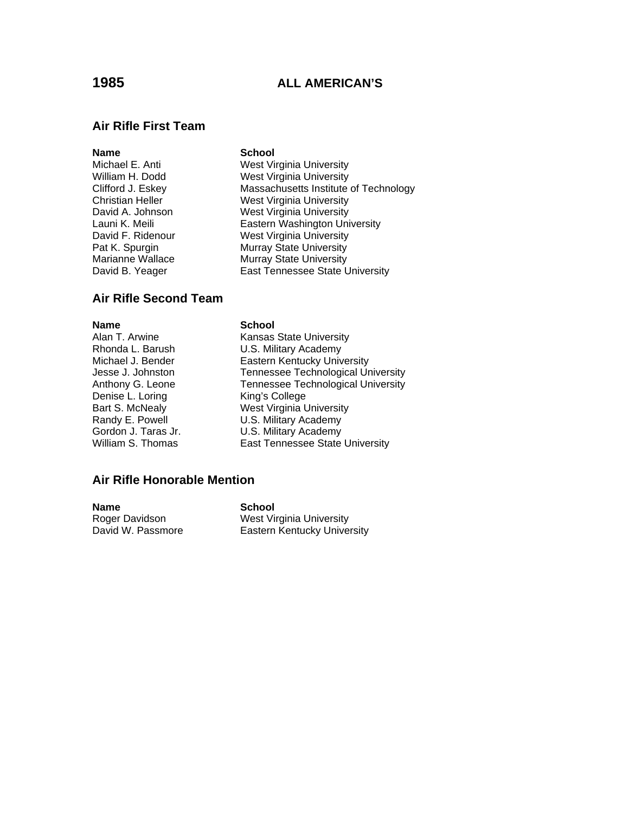### **Air Rifle First Team**

#### **Name** School

Michael E. Anti West Virginia University William H. Dodd West Virginia University Clifford J. Eskey Massachusetts Institute of Technology Christian Heller West Virginia University David A. Johnson West Virginia University Launi K. Meili **Eastern Washington University** David F. Ridenour West Virginia University Pat K. Spurgin **Murray State University**<br>Marianne Wallace Murray State University Murray State University David B. Yeager **East Tennessee State University** 

### **Air Rifle Second Team**

Denise L. Loring King's College

#### **Name School**

Alan T. Arwine **Kansas State University** Rhonda L. Barush U.S. Military Academy Michael J. Bender **Eastern Kentucky University** Jesse J. Johnston Tennessee Technological University Anthony G. Leone Tennessee Technological University Bart S. McNealy West Virginia University Randy E. Powell **U.S. Military Academy** Gordon J. Taras Jr. **U.S. Military Academy** William S. Thomas **East Tennessee State University** 

### **Air Rifle Honorable Mention**

**Name** School

Roger Davidson **West Virginia University**<br>
David W. Passmore **Castern Kentucky Unive** Eastern Kentucky University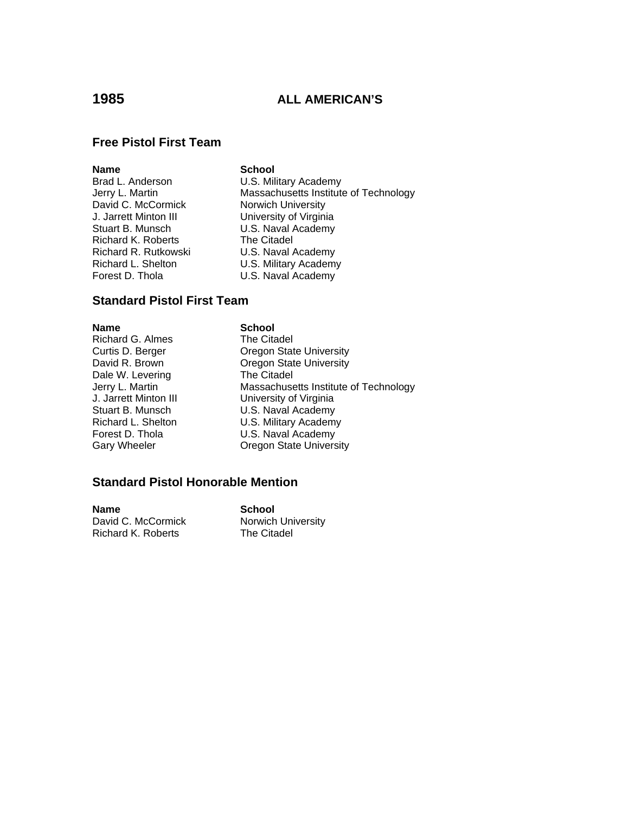## **Free Pistol First Team**

### **Name** School

David C. McCormick J. Jarrett Minton III University of Virginia Stuart B. Munsch **U.S. Naval Academy** Richard K. Roberts The Citadel Richard R. Rutkowski U.S. Naval Academy Richard L. Shelton **U.S. Military Academy** Forest D. Thola **U.S. Naval Academy** 

Brad L. Anderson U.S. Military Academy Jerry L. Martin Massachusetts Institute of Technology<br>David C. McCormick Morwich University

### **Standard Pistol First Team**

#### **Name** School

Richard G. Almes<br>
Curtis D. Berger<br>
Cregon Stat Dale W. Levering The Citadel

**Oregon State University** David R. Brown **Oregon State University** Jerry L. Martin **Massachusetts Institute of Technology** J. Jarrett Minton III University of Virginia Stuart B. Munsch **B. Australian Contains U.S. Naval Academy**<br>Richard L. Shelton **B. U.S. Military Academy** U.S. Military Academy Forest D. Thola **U.S. Naval Academy** Gary Wheeler **Cary Wheeler Cregon State University** 

## **Standard Pistol Honorable Mention**

**Name School**<br>David C. McCormick **Notwich** Richard K. Roberts

Norwich University<br>The Citadel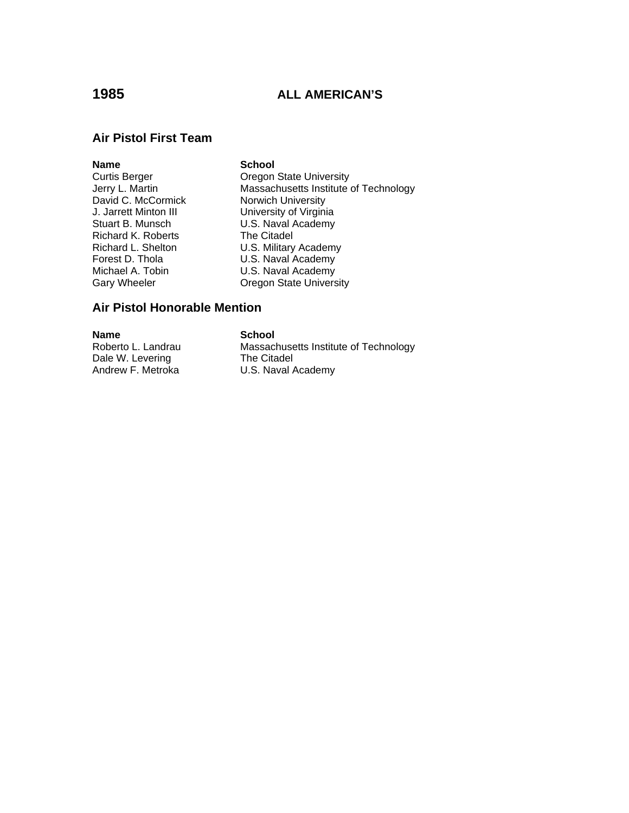## **Air Pistol First Team**

**Name School**<br>
Curtis Berger **School**<br>
Oregon David C. McCormick<br>
J. Jarrett Minton III Christen University of Virgini J. Jarrett Minton III **Conservent University of Virginia**<br>Stuart B. Munsch **U.S. Naval Academy** Richard K. Roberts The Citadel Michael A. Tobin U.S. Naval Academy<br>Gary Wheeler Coregon State Univers

Curtis Berger **Curtis Berger** Oregon State University<br>
Jerry L. Martin **Carry Communist Contracts** Institute Massachusetts Institute of Technology U.S. Naval Academy Richard L. Shelton U.S. Military Academy<br>
Forest D. Thola U.S. Naval Academy U.S. Naval Academy **Oregon State University** 

## **Air Pistol Honorable Mention**

**Name School**<br>
Roberto L. Landrau **Comparent Roberto L. Landrau** Dale W. Levering The Citadel

Massachusetts Institute of Technology Andrew F. Metroka **U.S. Naval Academy**